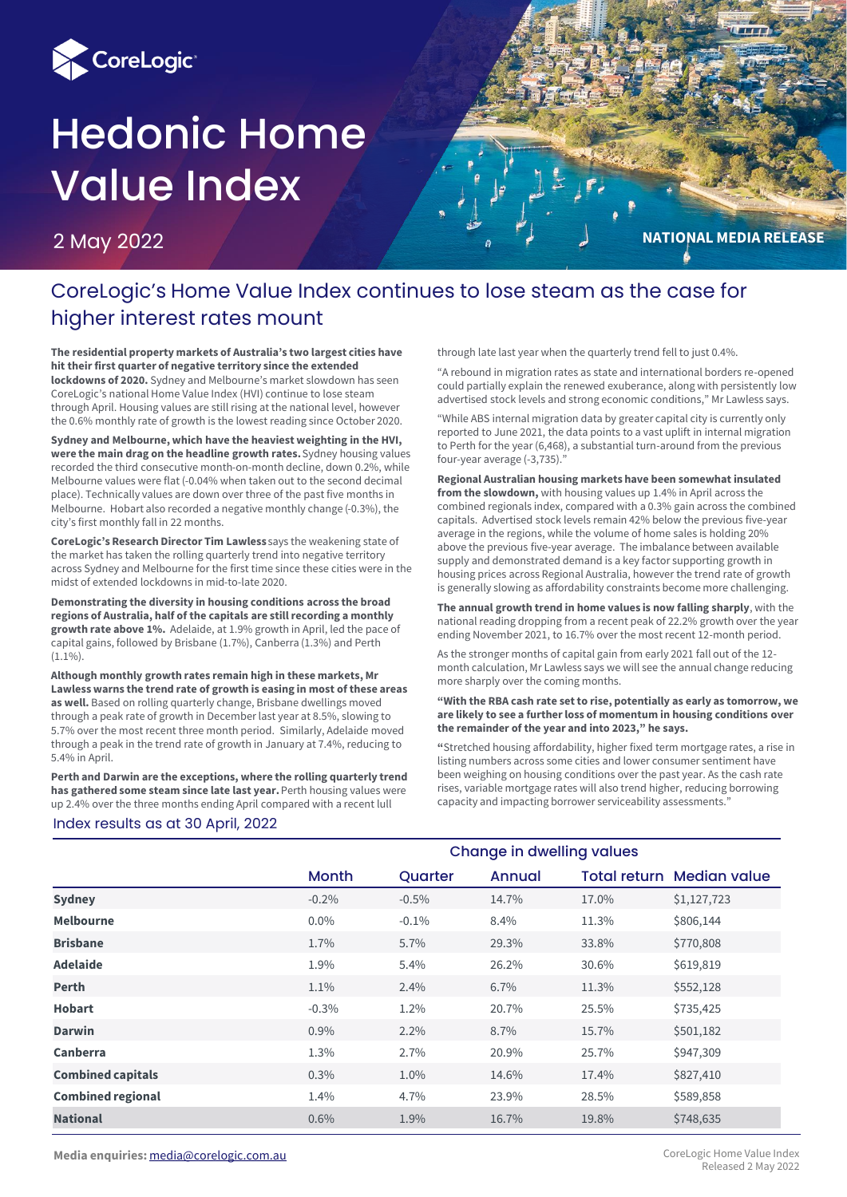

# Hedonic Home Value Index

2 May 2022



# CoreLogic's Home Value Index continues to lose steam as the case for higher interest rates mount

**The residential property markets of Australia's two largest cities have hit their first quarter of negative territory since the extended lockdowns of 2020.** Sydney and Melbourne's market slowdown has seen CoreLogic's national Home Value Index (HVI) continue to lose steam through April. Housing values are still rising at the national level, however the 0.6% monthly rate of growth is the lowest reading since October 2020.

**Sydney and Melbourne, which have the heaviest weighting in the HVI, were the main drag on the headline growth rates.** Sydney housing values recorded the third consecutive month-on-month decline, down 0.2%, while Melbourne values were flat (-0.04% when taken out to the second decimal place). Technically values are down over three of the past five months in Melbourne. Hobart also recorded a negative monthly change (-0.3%), the city's first monthly fall in 22 months.

**CoreLogic's Research Director Tim Lawless** says the weakening state of the market has taken the rolling quarterly trend into negative territory across Sydney and Melbourne for the first time since these cities were in the midst of extended lockdowns in mid-to-late 2020.

**Demonstrating the diversity in housing conditions across the broad regions of Australia, half of the capitals are still recording a monthly growth rate above 1%.** Adelaide, at 1.9% growth in April, led the pace of capital gains, followed by Brisbane (1.7%), Canberra (1.3%) and Perth (1.1%).

**Although monthly growth rates remain high in these markets, Mr Lawless warns the trend rate of growth is easing in most of these areas as well.** Based on rolling quarterly change, Brisbane dwellings moved through a peak rate of growth in December last year at 8.5%, slowing to 5.7% over the most recent three month period. Similarly, Adelaide moved through a peak in the trend rate of growth in January at 7.4%, reducing to 5.4% in April.

**Perth and Darwin are the exceptions, where the rolling quarterly trend has gathered some steam since late last year.** Perth housing values were up 2.4% over the three months ending April compared with a recent lull

through late last year when the quarterly trend fell to just 0.4%.

"A rebound in migration rates as state and international borders re-opened could partially explain the renewed exuberance, along with persistently low advertised stock levels and strong economic conditions," Mr Lawless says.

"While ABS internal migration data by greater capital city is currently only reported to June 2021, the data points to a vast uplift in internal migration to Perth for the year (6,468), a substantial turn-around from the previous four-year average (-3,735)."

**Regional Australian housing markets have been somewhat insulated from the slowdown,** with housing values up 1.4% in April across the combined regionals index, compared with a 0.3% gain across the combined capitals. Advertised stock levels remain 42% below the previous five-year average in the regions, while the volume of home sales is holding 20% above the previous five-year average. The imbalance between available supply and demonstrated demand is a key factor supporting growth in housing prices across Regional Australia, however the trend rate of growth is generally slowing as affordability constraints become more challenging.

**The annual growth trend in home values is now falling sharply**, with the national reading dropping from a recent peak of 22.2% growth over the year ending November 2021, to 16.7% over the most recent 12-month period.

As the stronger months of capital gain from early 2021 fall out of the 12 month calculation, Mr Lawless says we will see the annual change reducing more sharply over the coming months.

#### **"With the RBA cash rate set to rise, potentially as early as tomorrow, we are likely to see a further loss of momentum in housing conditions over the remainder of the year and into 2023," he says.**

**"**Stretched housing affordability, higher fixed term mortgage rates, a rise in listing numbers across some cities and lower consumer sentiment have been weighing on housing conditions over the past year. As the cash rate rises, variable mortgage rates will also trend higher, reducing borrowing capacity and impacting borrower serviceability assessments."

#### Index results as at 30 April, 2022

|                          | <b>Change in dwelling values</b> |          |        |       |                           |  |
|--------------------------|----------------------------------|----------|--------|-------|---------------------------|--|
|                          | <b>Month</b>                     | Quarter  | Annual |       | Total return Median value |  |
| <b>Sydney</b>            | $-0.2\%$                         | $-0.5%$  | 14.7%  | 17.0% | \$1,127,723               |  |
| <b>Melbourne</b>         | $0.0\%$                          | $-0.1\%$ | 8.4%   | 11.3% | \$806,144                 |  |
| <b>Brisbane</b>          | 1.7%                             | 5.7%     | 29.3%  | 33.8% | \$770,808                 |  |
| <b>Adelaide</b>          | 1.9%                             | 5.4%     | 26.2%  | 30.6% | \$619,819                 |  |
| <b>Perth</b>             | 1.1%                             | 2.4%     | 6.7%   | 11.3% | \$552,128                 |  |
| <b>Hobart</b>            | $-0.3\%$                         | 1.2%     | 20.7%  | 25.5% | \$735,425                 |  |
| <b>Darwin</b>            | $0.9\%$                          | $2.2\%$  | 8.7%   | 15.7% | \$501,182                 |  |
| Canberra                 | 1.3%                             | 2.7%     | 20.9%  | 25.7% | \$947,309                 |  |
| <b>Combined capitals</b> | 0.3%                             | 1.0%     | 14.6%  | 17.4% | \$827,410                 |  |
| <b>Combined regional</b> | 1.4%                             | 4.7%     | 23.9%  | 28.5% | \$589,858                 |  |
| <b>National</b>          | 0.6%                             | 1.9%     | 16.7%  | 19.8% | \$748,635                 |  |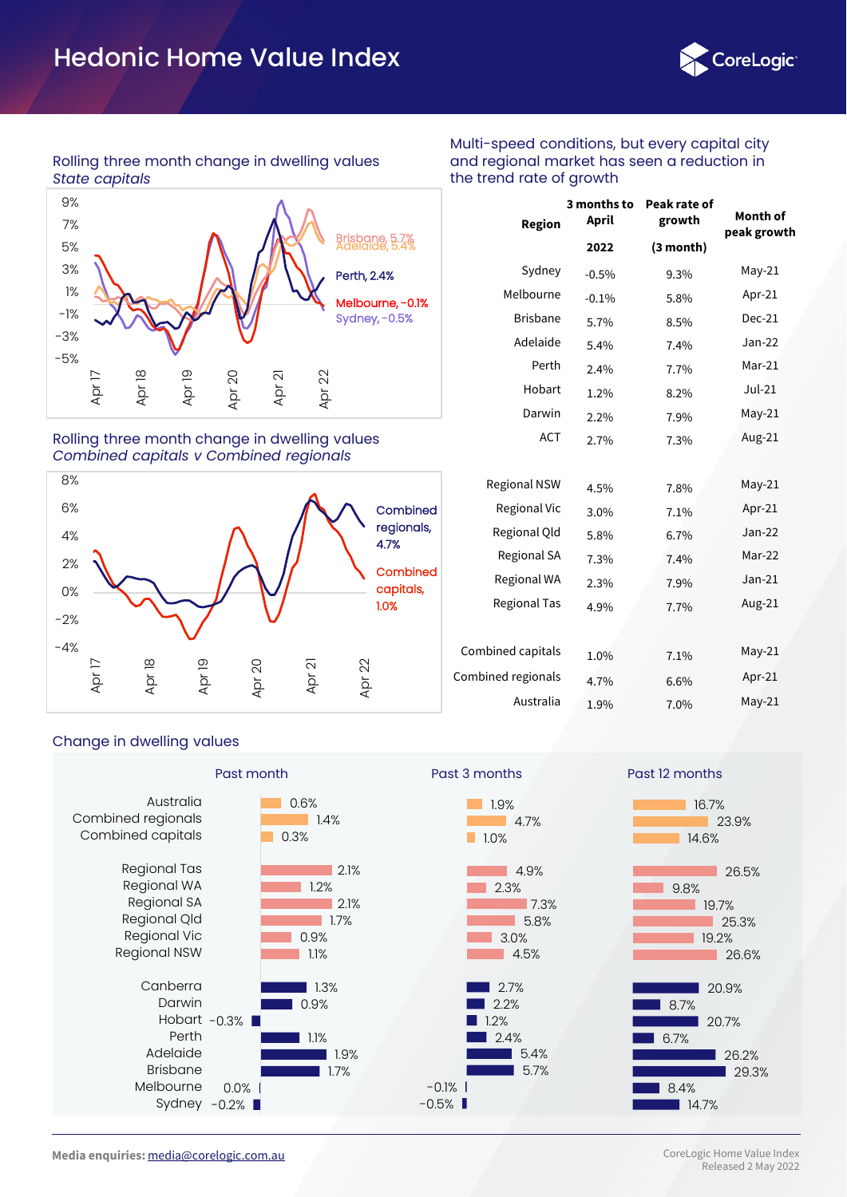

# Rolling three month change in dwelling values *State capitals*



## Rolling three month change in dwelling values *Combined capitals v Combined regionals*



| <b>Region</b>       | 3 months to<br>April | Peak rate of<br>growth | Month of<br>peak growth |  |
|---------------------|----------------------|------------------------|-------------------------|--|
|                     | 2022                 | (3 month)              |                         |  |
| Sydney              | $-0.5%$              | 9.3%                   | $May-21$                |  |
| Melbourne           | $-0.1%$              | 5.8%                   | Apr-21                  |  |
| <b>Brisbane</b>     | 5.7%                 | 8.5%                   | $Dec-21$                |  |
| Adelaide            | 5.4%                 | 7.4%                   | Jan-22                  |  |
| Perth               | 2.4%                 | 7.7%                   | Mar-21                  |  |
| Hobart              | 1.2%                 | 8.2%                   | $Jul-21$                |  |
| Darwin              | 2.2%                 | 7.9%                   | $May-21$                |  |
| <b>ACT</b>          | 2.7%                 | 7.3%                   | Aug-21                  |  |
|                     |                      |                        |                         |  |
| <b>Regional NSW</b> | 4.5%                 | 7.8%                   | $May-21$                |  |
| Regional Vic        | 3.0%                 | 7.1%                   | Apr-21                  |  |
| Regional Old        | 5.8%                 | 6.7%                   | Jan-22                  |  |
| Regional SA         | 7.3%                 | 7.4%                   | Mar-22                  |  |
| Regional WA         | 2.3%                 | 7.9%                   | $Jan-21$                |  |
| Regional Tas        | 4.9%                 | 7.7%                   | Aug-21                  |  |

Multi-speed conditions, but every capital city and regional market has seen a reduction in

the trend rate of growth

| Combined capitals  | 1.0% | 7.1% | $May-21$ |
|--------------------|------|------|----------|
| Combined regionals | 4.7% | 6.6% | $Apr-21$ |
| Australia          | 1.9% | 7.0% | $May-21$ |

# Change in dwelling values

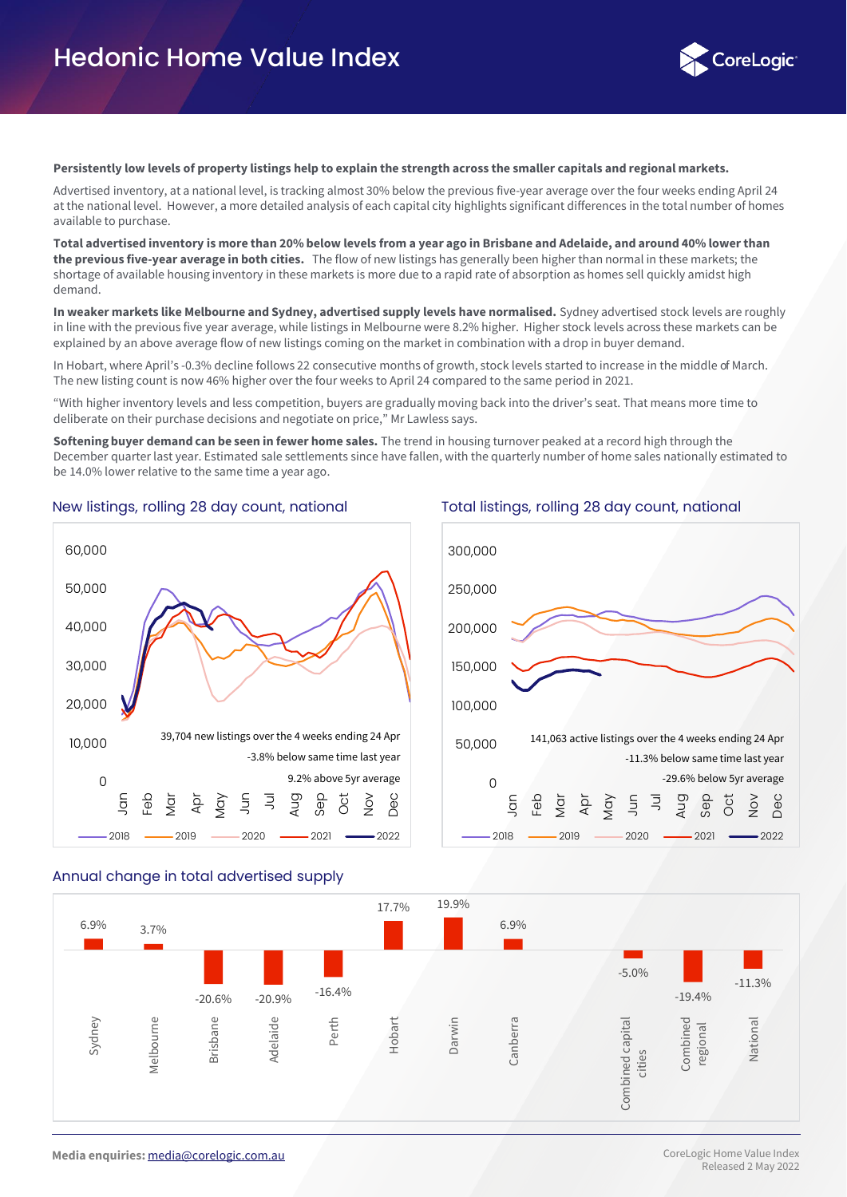

#### **Persistently low levels of property listings help to explain the strength across the smaller capitals and regional markets.**

Advertised inventory, at a national level, is tracking almost 30% below the previous five-year average over the four weeks ending April 24 at the national level. However, a more detailed analysis of each capital city highlights significant differences in the total number of homes available to purchase.

**Total advertised inventory is more than 20% below levels from a year ago in Brisbane and Adelaide, and around 40% lower than the previous five-year average in both cities.** The flow of new listings has generally been higher than normal in these markets; the shortage of available housing inventory in these markets is more due to a rapid rate of absorption as homes sell quickly amidst high demand.

**In weaker markets like Melbourne and Sydney, advertised supply levels have normalised.** Sydney advertised stock levels are roughly in line with the previous five year average, while listings in Melbourne were 8.2% higher. Higher stock levels across these markets can be explained by an above average flow of new listings coming on the market in combination with a drop in buyer demand.

In Hobart, where April's -0.3% decline follows 22 consecutive months of growth, stock levels started to increase in the middle of March. The new listing count is now 46% higher over the four weeks to April 24 compared to the same period in 2021.

"With higher inventory levels and less competition, buyers are gradually moving back into the driver's seat. That means more time to deliberate on their purchase decisions and negotiate on price," Mr Lawless says.

**Softening buyer demand can be seen in fewer home sales.** The trend in housing turnover peaked at a record high through the December quarter last year. Estimated sale settlements since have fallen, with the quarterly number of home sales nationally estimated to be 14.0% lower relative to the same time a year ago.



#### New listings, rolling 28 day count, national Total listings, rolling 28 day count, national



#### Annual change in total advertised supply

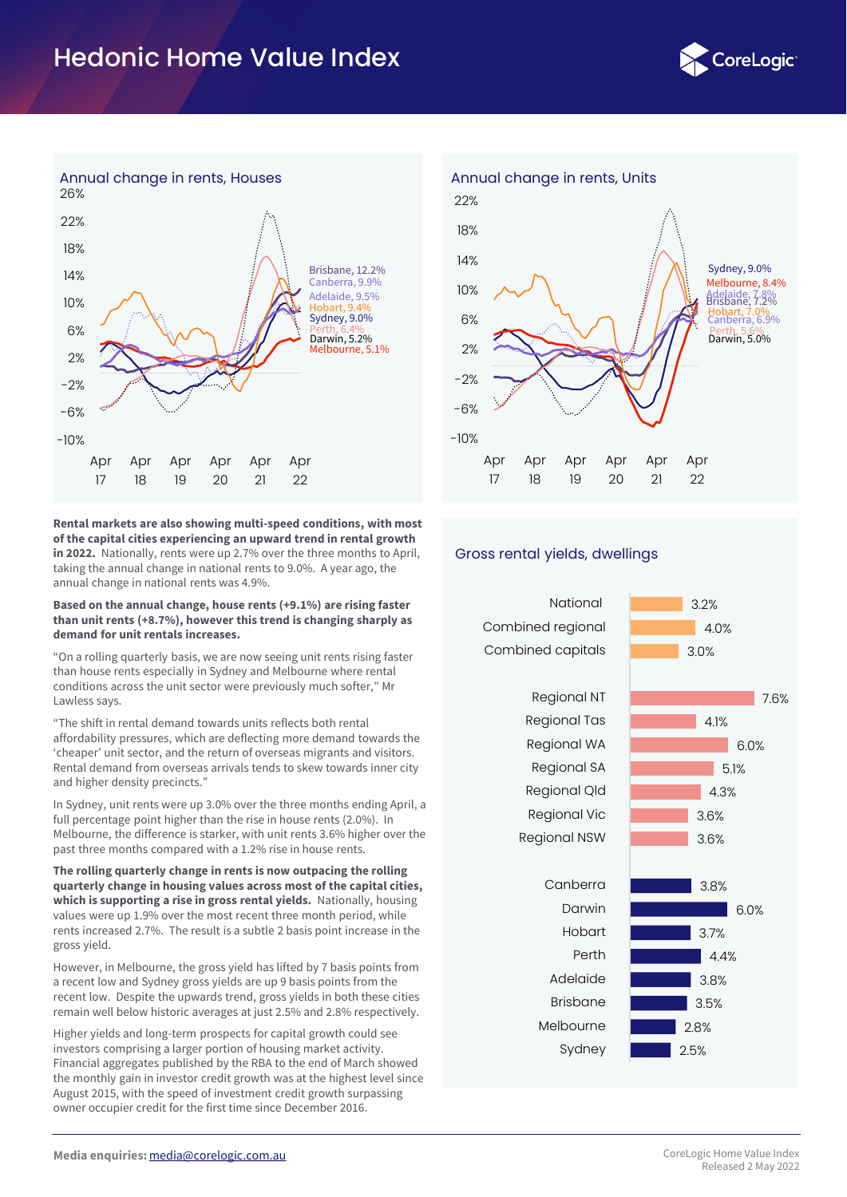



**Rental markets are also showing multi-speed conditions, with most of the capital cities experiencing an upward trend in rental growth in 2022.** Nationally, rents were up 2.7% over the three months to April, taking the annual change in national rents to 9.0%. A year ago, the annual change in national rents was 4.9%.

#### **Based on the annual change, house rents (+9.1%) are rising faster than unit rents (+8.7%), however this trend is changing sharply as demand for unit rentals increases.**

"On a rolling quarterly basis, we are now seeing unit rents rising faster than house rents especially in Sydney and Melbourne where rental conditions across the unit sector were previously much softer," Mr Lawless says.

"The shift in rental demand towards units reflects both rental affordability pressures, which are deflecting more demand towards the 'cheaper' unit sector, and the return of overseas migrants and visitors. Rental demand from overseas arrivals tends to skew towards inner city and higher density precincts."

In Sydney, unit rents were up 3.0% over the three months ending April, a full percentage point higher than the rise in house rents (2.0%). In Melbourne, the difference is starker, with unit rents 3.6% higher over the past three months compared with a 1.2% rise in house rents.

**The rolling quarterly change in rents is now outpacing the rolling quarterly change in housing values across most of the capital cities, which is supporting a rise in gross rental yields.** Nationally, housing values were up 1.9% over the most recent three month period, while rents increased 2.7%. The result is a subtle 2 basis point increase in the gross yield.

However, in Melbourne, the gross yield has lifted by 7 basis points from a recent low and Sydney gross yields are up 9 basis points from the recent low. Despite the upwards trend, gross yields in both these cities remain well below historic averages at just 2.5% and 2.8% respectively.

Higher yields and long-term prospects for capital growth could see investors comprising a larger portion of housing market activity. Financial aggregates published by the RBA to the end of March showed the monthly gain in investor credit growth was at the highest level since August 2015, with the speed of investment credit growth surpassing owner occupier credit for the first time since December 2016.



# Gross rental yields, dwellings

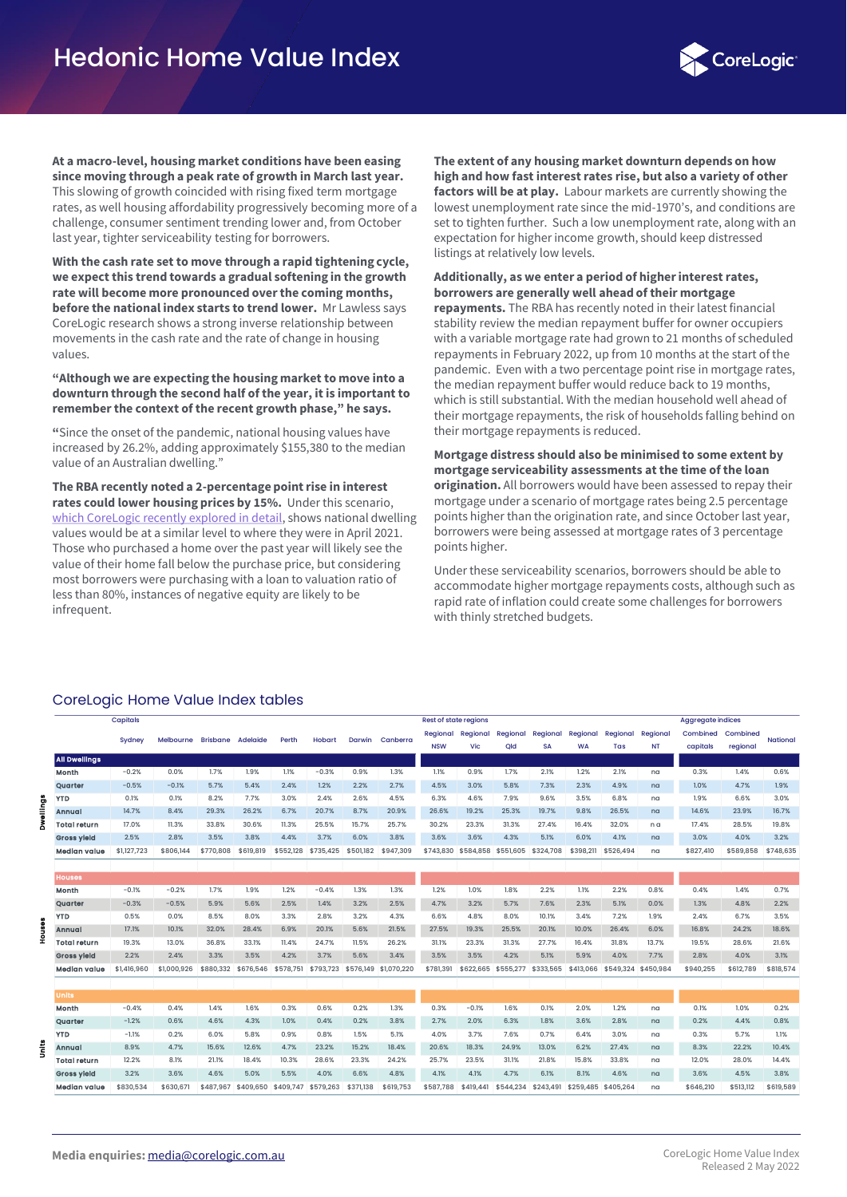

**At a macro-level, housing market conditions have been easing since moving through a peak rate of growth in March last year.**  This slowing of growth coincided with rising fixed term mortgage rates, as well housing affordability progressively becoming more of a challenge, consumer sentiment trending lower and, from October last year, tighter serviceability testing for borrowers.

**With the cash rate set to move through a rapid tightening cycle, we expect this trend towards a gradual softening in the growth rate will become more pronounced over the coming months, before the national index starts to trend lower.** Mr Lawless says CoreLogic research shows a strong inverse relationship between movements in the cash rate and the rate of change in housing values.

**"Although we are expecting the housing market to move into a downturn through the second half of the year, it is important to remember the context of the recent growth phase," he says.**

**"**Since the onset of the pandemic, national housing values have increased by 26.2%, adding approximately \$155,380 to the median value of an Australian dwelling."

**The RBA recently noted a 2-percentage point rise in interest rates could lower housing prices by 15%.** Under this scenario, [which CoreLogic recently explored in detail,](https://www.corelogic.com.au/news-research/news/2022/inflation,-rate-rises-and-mortgage-stress-whats-ahead-for-the-australian-property-market) shows national dwelling values would be at a similar level to where they were in April 2021. Those who purchased a home over the past year will likely see the value of their home fall below the purchase price, but considering most borrowers were purchasing with a loan to valuation ratio of less than 80%, instances of negative equity are likely to be infrequent.

**The extent of any housing market downturn depends on how high and how fast interest rates rise, but also a variety of other factors will be at play.** Labour markets are currently showing the lowest unemployment rate since the mid-1970's, and conditions are set to tighten further. Such a low unemployment rate, along with an expectation for higher income growth, should keep distressed listings at relatively low levels.

## **Additionally, as we enter a period of higher interest rates, borrowers are generally well ahead of their mortgage repayments.** The RBA has recently noted in their latest financial

stability review the median repayment buffer for owner occupiers with a variable mortgage rate had grown to 21 months of scheduled repayments in February 2022, up from 10 months at the start of the pandemic. Even with a two percentage point rise in mortgage rates, the median repayment buffer would reduce back to 19 months, which is still substantial. With the median household well ahead of their mortgage repayments, the risk of households falling behind on their mortgage repayments is reduced.

#### **Mortgage distress should also be minimised to some extent by mortgage serviceability assessments at the time of the loan origination.** All borrowers would have been assessed to repay their mortgage under a scenario of mortgage rates being 2.5 percentage points higher than the origination rate, and since October last year, borrowers were being assessed at mortgage rates of 3 percentage points higher.

Under these serviceability scenarios, borrowers should be able to accommodate higher mortgage repayments costs, although such as rapid rate of inflation could create some challenges for borrowers with thinly stretched budgets.

# CoreLogic Home Value Index tables

|           |                      | Capitals    |             |           |           |           |               |               |                       | <b>Rest of state regions</b> |           |           |           |           |                     |           | <b>Aggregate indices</b> |           |           |
|-----------|----------------------|-------------|-------------|-----------|-----------|-----------|---------------|---------------|-----------------------|------------------------------|-----------|-----------|-----------|-----------|---------------------|-----------|--------------------------|-----------|-----------|
|           |                      | Sydney      | Melbourne   | Brisbane  | Adelaide  | Perth     | <b>Hobart</b> | <b>Darwin</b> | Canberra              | Regional                     | Regional  | Regional  | Regional  | Regional  | Regional            | Regional  | Combined                 | Combined  | National  |
|           |                      |             |             |           |           |           |               |               |                       | <b>NSW</b>                   | Vic       | Qld       | <b>SA</b> | <b>WA</b> | Tas                 | <b>NT</b> | capitals                 | regional  |           |
|           | <b>All Dwellings</b> |             |             |           |           |           |               |               |                       |                              |           |           |           |           |                     |           |                          |           |           |
|           | Month                | $-0.2%$     | 0.0%        | 1.7%      | 1.9%      | 1.1%      | $-0.3%$       | 0.9%          | 1.3%                  | 1.1%                         | 0.9%      | 1.7%      | 2.1%      | 1.2%      | 2.1%                | na        | 0.3%                     | 1.4%      | 0.6%      |
|           | Quarter              | $-0.5%$     | $-0.1%$     | 5.7%      | 5.4%      | 2.4%      | 1.2%          | 2.2%          | 2.7%                  | 4.5%                         | 3.0%      | 5.8%      | 7.3%      | 2.3%      | 4.9%                | na        | 1.0%                     | 4.7%      | 1.9%      |
| gall<br>E | <b>YTD</b>           | 0.1%        | 0.1%        | 8.2%      | 7.7%      | 3.0%      | 2.4%          | 2.6%          | 4.5%                  | 6.3%                         | 4.6%      | 7.9%      | 9.6%      | 3.5%      | 6.8%                | na        | 1.9%                     | 6.6%      | 3.0%      |
|           | Annual               | 14.7%       | 8.4%        | 29.3%     | 26.2%     | 6.7%      | 20.7%         | 8.7%          | 20.9%                 | 26.6%                        | 19.2%     | 25.3%     | 19.7%     | 9.8%      | 26.5%               | na        | 14.6%                    | 23.9%     | 16.7%     |
|           | <b>Total return</b>  | 17.0%       | 11.3%       | 33.8%     | 30.6%     | 11.3%     | 25.5%         | 15.7%         | 25.7%                 | 30.2%                        | 23.3%     | 31.3%     | 27.4%     | 16.4%     | 32.0%               | n a       | 17.4%                    | 28.5%     | 19.8%     |
|           | <b>Gross vield</b>   | 2.5%        | 2.8%        | 3.5%      | 3.8%      | 4.4%      | 3.7%          | 6.0%          | 3.8%                  | 3.6%                         | 3.6%      | 4.3%      | 5.1%      | 6.0%      | 4.1%                | na        | 3.0%                     | 4.0%      | 3.2%      |
|           | <b>Median value</b>  | \$1,127,723 | \$806,144   | \$770,808 | \$619,819 | \$552,128 | \$735,425     | \$501,182     | \$947,309             | \$743,830                    | \$584,858 | \$551,605 | \$324,708 | \$398,211 | \$526,494           | na        | \$827,410                | \$589,858 | \$748,635 |
|           |                      |             |             |           |           |           |               |               |                       |                              |           |           |           |           |                     |           |                          |           |           |
|           | <b>Houses</b>        |             |             |           |           |           |               |               |                       |                              |           |           |           |           |                     |           |                          |           |           |
|           | Month                | $-0.1%$     | $-0.2%$     | 1.7%      | 1.9%      | 1.2%      | $-0.4%$       | 1.3%          | 1.3%                  | 1.2%                         | 1.0%      | 1.8%      | 2.2%      | 1.1%      | 2.2%                | 0.8%      | 0.4%                     | 1.4%      | 0.7%      |
|           | Quarter              | $-0.3%$     | $-0.5%$     | 5.9%      | 5.6%      | 2.5%      | 1.4%          | 3.2%          | 2.5%                  | 4.7%                         | 3.2%      | 5.7%      | 7.6%      | 2.3%      | 5.1%                | 0.0%      | 1.3%                     | 4.8%      | 2.2%      |
|           | YTD                  | 0.5%        | 0.0%        | 8.5%      | 8.0%      | 3.3%      | 2.8%          | 3.2%          | 4.3%                  | 6.6%                         | 4.8%      | 8.0%      | 10.1%     | 3.4%      | 7.2%                | 1.9%      | 2.4%                     | 6.7%      | 3.5%      |
|           | Annual               | 17.1%       | 10.1%       | 32.0%     | 28.4%     | 6.9%      | 20.1%         | 5.6%          | 21.5%                 | 27.5%                        | 19.3%     | 25.5%     | 20.1%     | 10.0%     | 26.4%               | 6.0%      | 16.8%                    | 24.2%     | 18.6%     |
|           | Total return         | 19.3%       | 13.0%       | 36.8%     | 33.1%     | 11.4%     | 24.7%         | 11.5%         | 26.2%                 | 31.1%                        | 23.3%     | 31.3%     | 27.7%     | 16.4%     | 31.8%               | 13.7%     | 19.5%                    | 28.6%     | 21.6%     |
|           | <b>Gross yield</b>   | 2.2%        | 2.4%        | 3.3%      | 3.5%      | 4.2%      | 3.7%          | 5.6%          | 3.4%                  | 3.5%                         | 3.5%      | 4.2%      | 5.1%      | 5.9%      | 4.0%                | 7.7%      | 2.8%                     | 4.0%      | 3.1%      |
|           | Median value         | \$1,416,960 | \$1,000,926 | \$880,332 | \$676,546 | \$578,751 | \$793,723     |               | \$576,149 \$1,070,220 | \$781,391                    | \$622,665 | \$555,277 | \$333,565 | \$413,066 | \$549,324 \$450,984 |           | \$940,255                | \$612,789 | \$818,574 |
|           |                      |             |             |           |           |           |               |               |                       |                              |           |           |           |           |                     |           |                          |           |           |
|           | <b>Units</b>         |             |             |           |           |           |               |               |                       |                              |           |           |           |           |                     |           |                          |           |           |
|           | Month                | $-0.4%$     | 0.4%        | 1.4%      | 1.6%      | 0.3%      | 0.6%          | 0.2%          | 1.3%                  | 0.3%                         | $-0.1%$   | 1.6%      | 0.1%      | 2.0%      | 1.2%                | na        | 0.1%                     | 1.0%      | 0.2%      |
|           | Quarter              | $-1.2%$     | 0.6%        | 4.6%      | 4.3%      | 1.0%      | 0.4%          | 0.2%          | 3.8%                  | 2.7%                         | 2.0%      | 6.3%      | 1.8%      | 3.6%      | 2.8%                | na        | 0.2%                     | 4.4%      | 0.8%      |
|           | <b>YTD</b>           | $-1.1%$     | 0.2%        | 6.0%      | 5.8%      | 0.9%      | 0.8%          | 1.5%          | 5.1%                  | 4.0%                         | 3.7%      | 7.6%      | 0.7%      | 6.4%      | 3.0%                | na        | 0.3%                     | 5.7%      | 1.1%      |
|           | Annual               | 8.9%        | 4.7%        | 15.6%     | 12.6%     | 4.7%      | 23.2%         | 15.2%         | 18.4%                 | 20.6%                        | 18.3%     | 24.9%     | 13.0%     | 6.2%      | 27.4%               | na        | 8.3%                     | 22.2%     | 10.4%     |
|           | Total return         | 12.2%       | 8.1%        | 21.1%     | 18.4%     | 10.3%     | 28.6%         | 23.3%         | 24.2%                 | 25.7%                        | 23.5%     | 31.1%     | 21.8%     | 15.8%     | 33.8%               | na        | 12.0%                    | 28.0%     | 14.4%     |
|           | <b>Gross yield</b>   | 3.2%        | 3.6%        | 4.6%      | 5.0%      | 5.5%      | 4.0%          | 6.6%          | 4.8%                  | 4.1%                         | 4.1%      | 4.7%      | 6.1%      | 8.1%      | 4.6%                | na        | 3.6%                     | 4.5%      | 3.8%      |
|           | Median value         | \$830,534   | \$630,671   | \$487,967 | \$409,650 | \$409,747 | \$579,263     | \$371,138     | \$619,753             | \$587,788                    | \$419,441 | \$544,234 | \$243,491 | \$259,485 | \$405,264           | na        | \$646,210                | \$513,112 | \$619,589 |

**Media enquiries:** [media@corelogic.com.au](mailto:media@corelogic.com.au)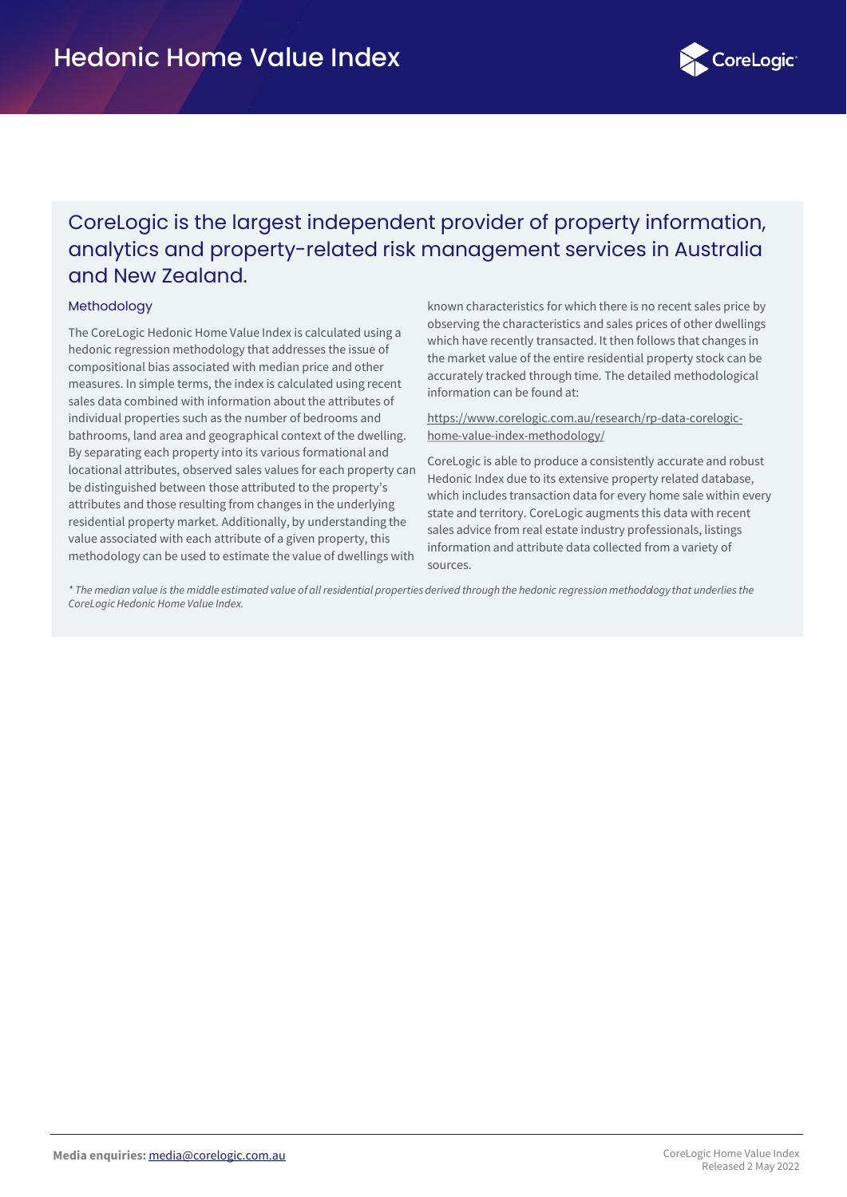

# CoreLogic is the largest independent provider of property information, analytics and property-related risk management services in Australia and New Zealand.

## **Methodology**

The CoreLogic Hedonic Home Value Index is calculated using a hedonic regression methodology that addresses the issue of compositional bias associated with median price and other measures. In simple terms, the index is calculated using recent sales data combined with information about the attributes of individual properties such as the number of bedrooms and bathrooms, land area and geographical context of the dwelling. By separating each property into its various formational and locational attributes, observed sales values for each property can be distinguished between those attributed to the property's attributes and those resulting from changes in the underlying residential property market. Additionally, by understanding the value associated with each attribute of a given property, this methodology can be used to estimate the value of dwellings with

known characteristics for which there is no recent sales price by observing the characteristics and sales prices of other dwellings which have recently transacted. It then follows that changes in the market value of the entire residential property stock can be accurately tracked through time. The detailed methodological information can be found at:

[https://www.corelogic.com.au/research/rp-data-corelogic](https://www.corelogic.com.au/research/rp-data-corelogic-home-value-index-methodology/)home-value-index-methodology/

CoreLogic is able to produce a consistently accurate and robust Hedonic Index due to its extensive property related database, which includes transaction data for every home sale within every state and territory. CoreLogic augments this data with recent sales advice from real estate industry professionals, listings information and attribute data collected from a variety of sources.

*\* The median value is the middle estimated value of all residential properties derived through the hedonic regression methodology that underlies the CoreLogic Hedonic Home Value Index.*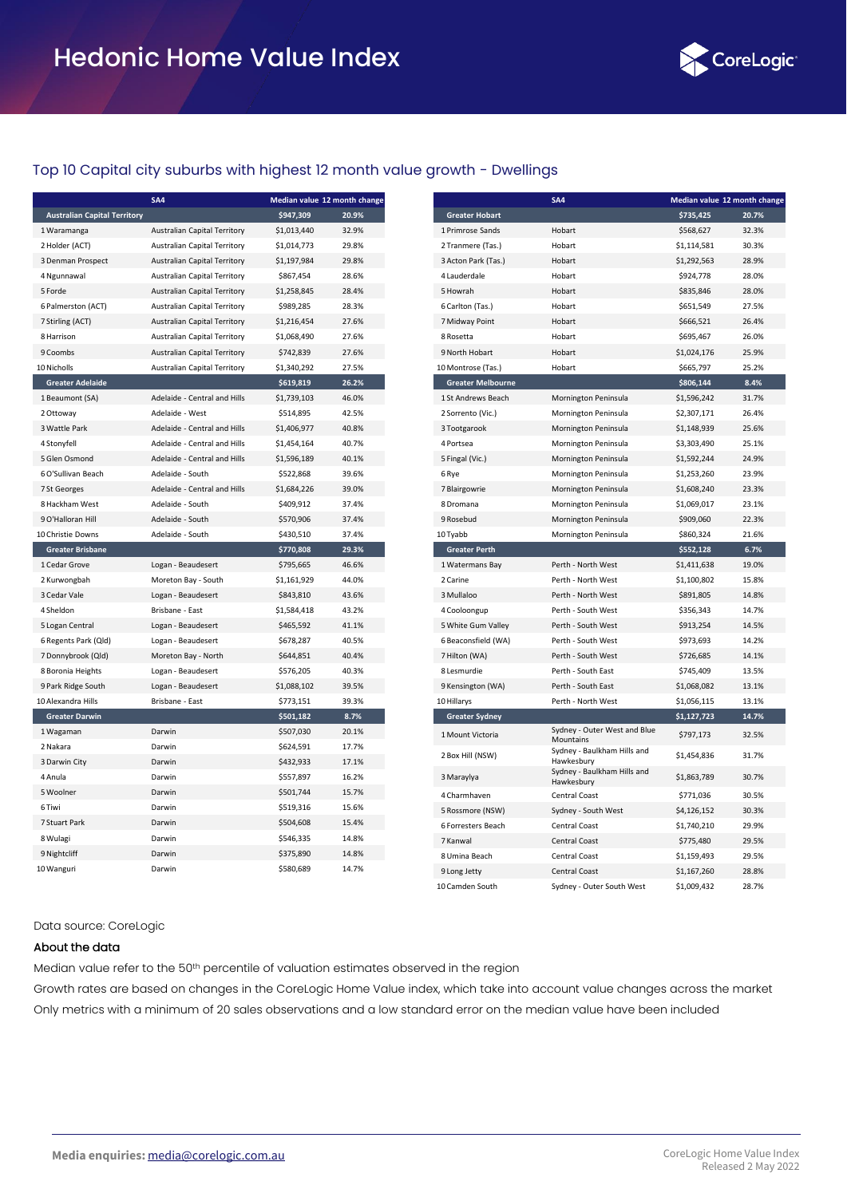

# Top 10 Capital city suburbs with highest 12 month value growth - Dwellings

|                                     | SA4                                 | Median value 12 month change |       |  |  |
|-------------------------------------|-------------------------------------|------------------------------|-------|--|--|
| <b>Australian Capital Territory</b> |                                     | \$947,309                    | 20.9% |  |  |
| 1 Waramanga                         | <b>Australian Capital Territory</b> | \$1,013,440                  | 32.9% |  |  |
| 2 Holder (ACT)                      | <b>Australian Capital Territory</b> | \$1,014,773                  | 29.8% |  |  |
| 3 Denman Prospect                   | <b>Australian Capital Territory</b> | \$1,197,984                  | 29.8% |  |  |
| 4 Ngunnawal                         | <b>Australian Capital Territory</b> | \$867,454                    | 28.6% |  |  |
| 5 Forde                             | <b>Australian Capital Territory</b> | \$1,258,845                  | 28.4% |  |  |
| 6 Palmerston (ACT)                  | <b>Australian Capital Territory</b> | \$989,285                    | 28.3% |  |  |
| 7 Stirling (ACT)                    | <b>Australian Capital Territory</b> | \$1,216,454                  | 27.6% |  |  |
| 8 Harrison                          | Australian Capital Territory        | \$1,068,490                  | 27.6% |  |  |
| 9 Coombs                            | <b>Australian Capital Territory</b> | \$742,839                    | 27.6% |  |  |
| 10 Nicholls                         | <b>Australian Capital Territory</b> | \$1,340,292                  | 27.5% |  |  |
| <b>Greater Adelaide</b>             |                                     | \$619,819                    | 26.2% |  |  |
| 1 Beaumont (SA)                     | Adelaide - Central and Hills        | \$1,739,103                  | 46.0% |  |  |
| 2 Ottoway                           | Adelaide - West                     | \$514,895                    | 42.5% |  |  |
| 3 Wattle Park                       | Adelaide - Central and Hills        | \$1,406,977                  | 40.8% |  |  |
| 4 Stonyfell                         | Adelaide - Central and Hills        | \$1,454,164                  | 40.7% |  |  |
| 5 Glen Osmond                       | Adelaide - Central and Hills        | \$1,596,189                  | 40.1% |  |  |
| 6 O'Sullivan Beach                  | Adelaide - South                    | \$522,868                    | 39.6% |  |  |
| 7 St Georges                        | Adelaide - Central and Hills        | \$1,684,226                  | 39.0% |  |  |
| 8 Hackham West                      | Adelaide - South                    | \$409,912                    | 37.4% |  |  |
| 9 O'Halloran Hill                   | Adelaide - South                    | \$570,906                    | 37.4% |  |  |
| 10 Christie Downs                   | Adelaide - South                    | \$430,510                    | 37.4% |  |  |
| <b>Greater Brisbane</b>             |                                     | \$770,808                    | 29.3% |  |  |
| 1 Cedar Grove                       | Logan - Beaudesert                  | \$795,665                    | 46.6% |  |  |
| 2 Kurwongbah                        | Moreton Bay - South                 | \$1,161,929                  | 44.0% |  |  |
| 3 Cedar Vale                        | Logan - Beaudesert                  | \$843,810                    | 43.6% |  |  |
| 4 Sheldon                           | Brisbane - East                     | \$1,584,418                  | 43.2% |  |  |
| 5 Logan Central                     | Logan - Beaudesert                  | \$465,592                    | 41.1% |  |  |
| 6 Regents Park (Qld)                | Logan - Beaudesert                  | \$678,287                    | 40.5% |  |  |
| 7 Donnybrook (Qld)                  | Moreton Bay - North                 | \$644,851                    | 40.4% |  |  |
| 8 Boronia Heights                   | Logan - Beaudesert                  | \$576,205                    | 40.3% |  |  |
| 9 Park Ridge South                  | Logan - Beaudesert                  | \$1,088,102                  | 39.5% |  |  |
| 10 Alexandra Hills                  | Brisbane - East                     | \$773,151                    | 39.3% |  |  |
| <b>Greater Darwin</b>               |                                     | \$501,182                    | 8.7%  |  |  |
| 1 Wagaman                           | Darwin                              | \$507,030                    | 20.1% |  |  |
| 2 Nakara                            | Darwin                              | \$624,591                    | 17.7% |  |  |
| 3 Darwin City                       | Darwin                              | \$432,933                    | 17.1% |  |  |
| 4 Anula                             | Darwin                              | \$557,897                    | 16.2% |  |  |
| 5 Woolner                           | Darwin                              | \$501,744                    | 15.7% |  |  |
| 6 Tiwi                              | Darwin                              | \$519,316                    | 15.6% |  |  |
| 7 Stuart Park                       | Darwin                              | \$504,608                    | 15.4% |  |  |
| 8 Wulagi                            | Darwin                              | \$546,335                    | 14.8% |  |  |
| 9 Nightcliff                        | Darwin                              | \$375,890                    | 14.8% |  |  |
| 10 Wanguri                          | Darwin                              | \$580,689                    | 14.7% |  |  |

|                          | SA <sub>4</sub>                           | Median value 12 month change |       |
|--------------------------|-------------------------------------------|------------------------------|-------|
| <b>Greater Hobart</b>    |                                           | \$735,425                    | 20.7% |
| 1 Primrose Sands         | Hobart                                    | \$568,627                    | 32.3% |
| 2 Tranmere (Tas.)        | Hobart                                    | \$1,114,581                  | 30.3% |
| 3 Acton Park (Tas.)      | Hobart                                    | \$1,292,563                  | 28.9% |
| 4 Lauderdale             | Hobart                                    | \$924,778                    | 28.0% |
| 5 Howrah                 | Hobart                                    | \$835,846                    | 28.0% |
| 6 Carlton (Tas.)         | Hobart                                    | \$651,549                    | 27.5% |
| 7 Midway Point           | Hobart                                    | \$666,521                    | 26.4% |
| 8 Rosetta                | Hobart                                    | \$695,467                    | 26.0% |
| 9 North Hobart           | Hobart                                    | \$1,024,176                  | 25.9% |
| 10 Montrose (Tas.)       | Hobart                                    | \$665,797                    | 25.2% |
| <b>Greater Melbourne</b> |                                           | \$806,144                    | 8.4%  |
| 1 St Andrews Beach       | Mornington Peninsula                      | \$1,596,242                  | 31.7% |
| 2 Sorrento (Vic.)        | Mornington Peninsula                      | \$2,307,171                  | 26.4% |
| 3 Tootgarook             | Mornington Peninsula                      | \$1,148,939                  | 25.6% |
| 4 Portsea                | Mornington Peninsula                      | \$3,303,490                  | 25.1% |
| 5 Fingal (Vic.)          | Mornington Peninsula                      | \$1,592,244                  | 24.9% |
| 6 Rye                    | Mornington Peninsula                      | \$1,253,260                  | 23.9% |
| 7 Blairgowrie            | Mornington Peninsula                      | \$1,608,240                  | 23.3% |
| 8 Dromana                | Mornington Peninsula                      | \$1,069,017                  | 23.1% |
| 9 Rosebud                | Mornington Peninsula                      | \$909,060                    | 22.3% |
| 10 Tyabb                 | Mornington Peninsula                      | \$860,324                    | 21.6% |
| <b>Greater Perth</b>     |                                           | \$552,128                    | 6.7%  |
| 1 Watermans Bay          | Perth - North West                        | \$1,411,638                  | 19.0% |
| 2 Carine                 | Perth - North West                        | \$1,100,802                  | 15.8% |
| 3 Mullaloo               | Perth - North West                        | \$891,805                    | 14.8% |
| 4 Cooloongup             | Perth - South West                        | \$356,343                    | 14.7% |
| 5 White Gum Valley       | Perth - South West                        | \$913,254                    | 14.5% |
| 6 Beaconsfield (WA)      | Perth - South West                        | \$973,693                    | 14.2% |
| 7 Hilton (WA)            | Perth - South West                        | \$726,685                    | 14.1% |
| 8 Lesmurdie              | Perth - South East                        | \$745,409                    | 13.5% |
| 9 Kensington (WA)        | Perth - South East                        | \$1,068,082                  | 13.1% |
| 10 Hillarys              | Perth - North West                        | \$1,056,115                  | 13.1% |
| <b>Greater Sydney</b>    |                                           | \$1,127,723                  | 14.7% |
| 1 Mount Victoria         | Sydney - Outer West and Blue<br>Mountains | \$797,173                    | 32.5% |
| 2 Box Hill (NSW)         | Sydney - Baulkham Hills and<br>Hawkesbury | \$1,454,836                  | 31.7% |
| 3 Maraylya               | Sydney - Baulkham Hills and<br>Hawkesbury | \$1,863,789                  | 30.7% |
| 4 Charmhaven             | Central Coast                             | \$771,036                    | 30.5% |
| 5 Rossmore (NSW)         | Sydney - South West                       | \$4,126,152                  | 30.3% |
| 6 Forresters Beach       | <b>Central Coast</b>                      | \$1,740,210                  | 29.9% |
| 7 Kanwal                 | <b>Central Coast</b>                      | \$775,480                    | 29.5% |
| 8 Umina Beach            | <b>Central Coast</b>                      | \$1,159,493                  | 29.5% |
| 9 Long Jetty             | <b>Central Coast</b>                      | \$1,167,260                  | 28.8% |
| 10 Camden South          | Sydney - Outer South West                 | \$1,009,432                  | 28.7% |

#### Data source: CoreLogic

#### About the data

Median value refer to the 50<sup>th</sup> percentile of valuation estimates observed in the region

Growth rates are based on changes in the CoreLogic Home Value index, which take into account value changes across the market Only metrics with a minimum of 20 sales observations and a low standard error on the median value have been included